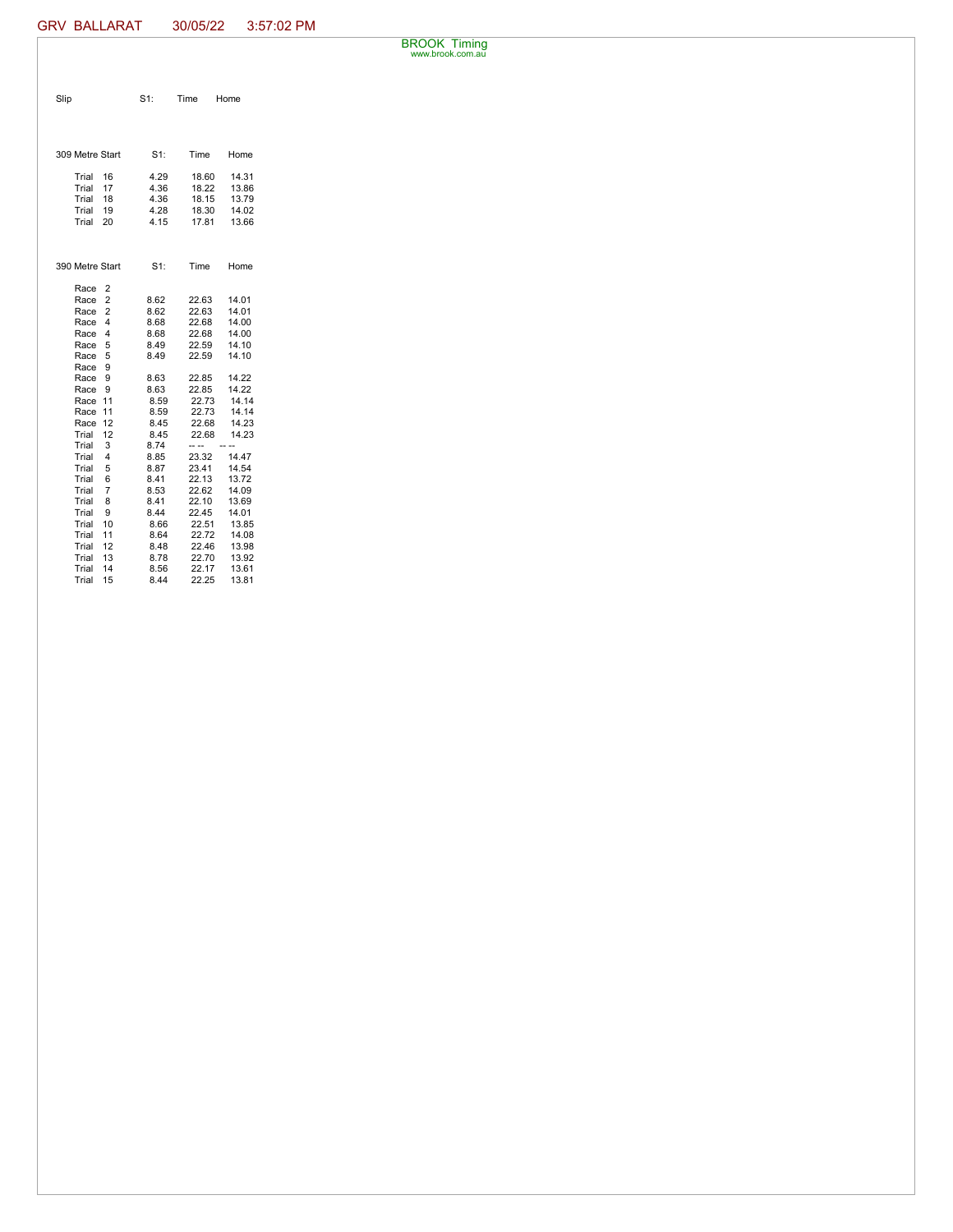BROOK Timing www.brook.com.au

| Slip                    | $S1$ :       | Time<br>Home   |       |
|-------------------------|--------------|----------------|-------|
|                         |              |                |       |
|                         |              |                |       |
|                         |              |                |       |
| 309 Metre Start         | $S1$ :       | Time           | Home  |
| Trial<br>16             | 4.29         | 18.60          | 14.31 |
| Trial<br>17             | 4.36         | 18.22          | 13.86 |
| Trial<br>18             | 4.36         | 18.15          | 13.79 |
| Trial<br>19             | 4.28         | 18.30          | 14.02 |
| Trial<br>20             | 4.15         | 17.81          | 13.66 |
|                         |              |                |       |
|                         |              |                |       |
| 390 Metre Start         | $S1$ :       | Time           | Home  |
|                         |              |                |       |
| Race<br>2<br>Race<br>2  |              |                | 14.01 |
|                         | 8.62         | 22.63<br>22.63 | 14.01 |
| Race<br>2<br>4          | 8.62<br>8.68 |                | 14.00 |
| Race                    | 8.68         | 22.68<br>22.68 | 14.00 |
| 4<br>Race<br>5          | 8.49         | 22.59          | 14.10 |
| Race                    | 8.49         | 22.59          |       |
| 5<br>Race               |              |                | 14.10 |
| 9<br>Race               |              |                |       |
| Race<br>9               | 8.63         | 22.85          | 14.22 |
| Race<br>9               | 8.63         | 22.85          | 14.22 |
| Race<br>11              | 8.59         | 22.73          | 14.14 |
| Race<br>11              | 8.59         | 22.73          | 14.14 |
| Race<br>12              | 8.45         | 22.68          | 14.23 |
| 12<br>Trial             | 8.45         | 22.68          | 14.23 |
| Trial<br>3              | 8.74         | -- --          |       |
| Trial<br>4              | 8.85         | 23.32          | 14.47 |
| Trial<br>5              | 8.87         | 23.41          | 14.54 |
| Trial<br>6              | 8.41         | 22.13          | 13.72 |
| $\overline{7}$<br>Trial | 8.53         | 22.62          | 14.09 |
| Trial<br>8              | 8.41         | 22.10          | 13.69 |
| Trial<br>9              | 8.44         | 22.45          | 14.01 |
| Trial<br>10             | 8.66         | 22.51          | 13.85 |
| Trial<br>11             | 8.64         | 22.72          | 14.08 |
| Trial<br>12             | 8.48         | 22.46          | 13.98 |
| Trial<br>13             | 8.78         | 22.70          | 13.92 |
| Trial<br>14             | 8.56         | 22.17          | 13.61 |
| Trial<br>15             | 8.44         | 22.25          | 13.81 |